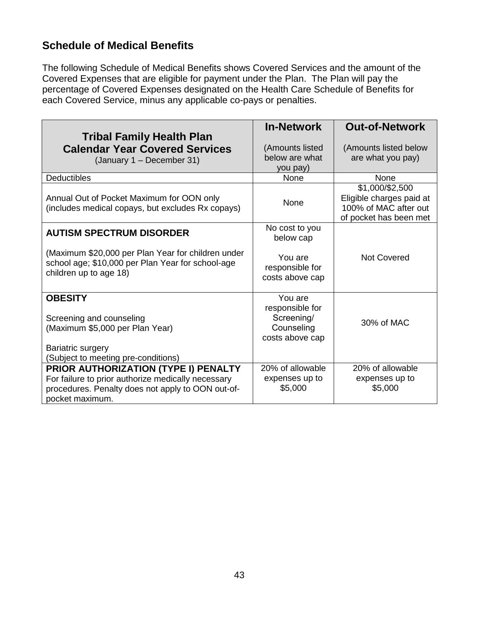#### **Schedule of Medical Benefits**

The following Schedule of Medical Benefits shows Covered Services and the amount of the Covered Expenses that are eligible for payment under the Plan. The Plan will pay the percentage of Covered Expenses designated on the Health Care Schedule of Benefits for each Covered Service, minus any applicable co-pays or penalties.

| <b>Tribal Family Health Plan</b><br><b>Calendar Year Covered Services</b><br>(January 1 - December 31)                                                             | <b>In-Network</b><br>(Amounts listed<br>below are what<br>you pay)        | <b>Out-of-Network</b><br>(Amounts listed below<br>are what you pay)                            |
|--------------------------------------------------------------------------------------------------------------------------------------------------------------------|---------------------------------------------------------------------------|------------------------------------------------------------------------------------------------|
| <b>Deductibles</b>                                                                                                                                                 | <b>None</b>                                                               | None                                                                                           |
| Annual Out of Pocket Maximum for OON only<br>(includes medical copays, but excludes Rx copays)                                                                     | None                                                                      | \$1,000/\$2,500<br>Eligible charges paid at<br>100% of MAC after out<br>of pocket has been met |
| <b>AUTISM SPECTRUM DISORDER</b>                                                                                                                                    | No cost to you<br>below cap                                               |                                                                                                |
| (Maximum \$20,000 per Plan Year for children under<br>school age; \$10,000 per Plan Year for school-age<br>children up to age 18)                                  | You are<br>responsible for<br>costs above cap                             | <b>Not Covered</b>                                                                             |
| <b>OBESITY</b><br>Screening and counseling<br>(Maximum \$5,000 per Plan Year)<br>Bariatric surgery<br>(Subject to meeting pre-conditions)                          | You are<br>responsible for<br>Screening/<br>Counseling<br>costs above cap | 30% of MAC                                                                                     |
| PRIOR AUTHORIZATION (TYPE I) PENALTY<br>For failure to prior authorize medically necessary<br>procedures. Penalty does not apply to OON out-of-<br>pocket maximum. | 20% of allowable<br>expenses up to<br>\$5,000                             | 20% of allowable<br>expenses up to<br>\$5,000                                                  |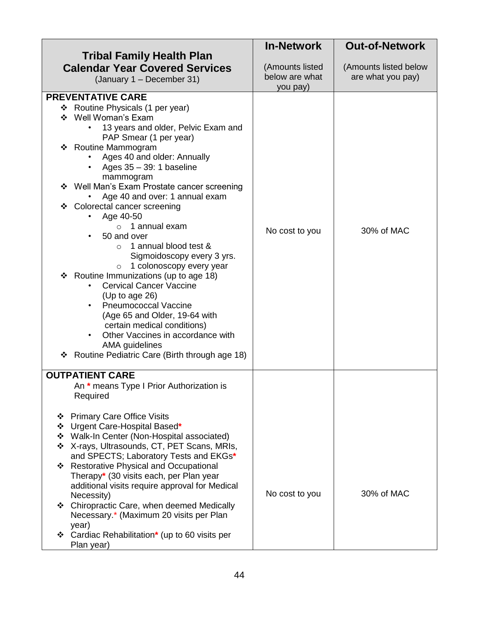|                                                                                                                                                                                                                                                                                                                                                                                                                                                                                                                                                                                                                                                                                                                                                                                                                                                                           | <b>In-Network</b>                             | <b>Out-of-Network</b>                      |
|---------------------------------------------------------------------------------------------------------------------------------------------------------------------------------------------------------------------------------------------------------------------------------------------------------------------------------------------------------------------------------------------------------------------------------------------------------------------------------------------------------------------------------------------------------------------------------------------------------------------------------------------------------------------------------------------------------------------------------------------------------------------------------------------------------------------------------------------------------------------------|-----------------------------------------------|--------------------------------------------|
| <b>Tribal Family Health Plan</b><br><b>Calendar Year Covered Services</b><br>(January 1 - December 31)                                                                                                                                                                                                                                                                                                                                                                                                                                                                                                                                                                                                                                                                                                                                                                    | (Amounts listed<br>below are what<br>you pay) | (Amounts listed below<br>are what you pay) |
| <b>PREVENTATIVE CARE</b><br>❖ Routine Physicals (1 per year)<br>Well Woman's Exam<br>❖<br>13 years and older, Pelvic Exam and<br>PAP Smear (1 per year)<br>❖ Routine Mammogram<br>Ages 40 and older: Annually<br>Ages $35 - 39$ : 1 baseline<br>$\bullet$<br>mammogram<br>Well Man's Exam Prostate cancer screening<br>❖<br>Age 40 and over: 1 annual exam<br>❖ Colorectal cancer screening<br>Age 40-50<br>1 annual exam<br>$\circ$<br>50 and over<br>1 annual blood test &<br>$\circ$<br>Sigmoidoscopy every 3 yrs.<br>1 colonoscopy every year<br>$\circ$<br>❖ Routine Immunizations (up to age 18)<br><b>Cervical Cancer Vaccine</b><br>(Up to age $26$ )<br><b>Pneumococcal Vaccine</b><br>(Age 65 and Older, 19-64 with<br>certain medical conditions)<br>Other Vaccines in accordance with<br>AMA guidelines<br>Routine Pediatric Care (Birth through age 18)<br>❖ | No cost to you                                | 30% of MAC                                 |
| <b>OUTPATIENT CARE</b><br>An * means Type I Prior Authorization is<br>Required                                                                                                                                                                                                                                                                                                                                                                                                                                                                                                                                                                                                                                                                                                                                                                                            |                                               |                                            |
| <b>Primary Care Office Visits</b><br>❖<br>* Urgent Care-Hospital Based*<br>❖ Walk-In Center (Non-Hospital associated)<br>❖ X-rays, Ultrasounds, CT, PET Scans, MRIs,<br>and SPECTS; Laboratory Tests and EKGs*<br>❖ Restorative Physical and Occupational<br>Therapy* (30 visits each, per Plan year<br>additional visits require approval for Medical<br>Necessity)<br>❖ Chiropractic Care, when deemed Medically<br>Necessary.* (Maximum 20 visits per Plan<br>year)<br>❖ Cardiac Rehabilitation* (up to 60 visits per<br>Plan year)                                                                                                                                                                                                                                                                                                                                    | No cost to you                                | 30% of MAC                                 |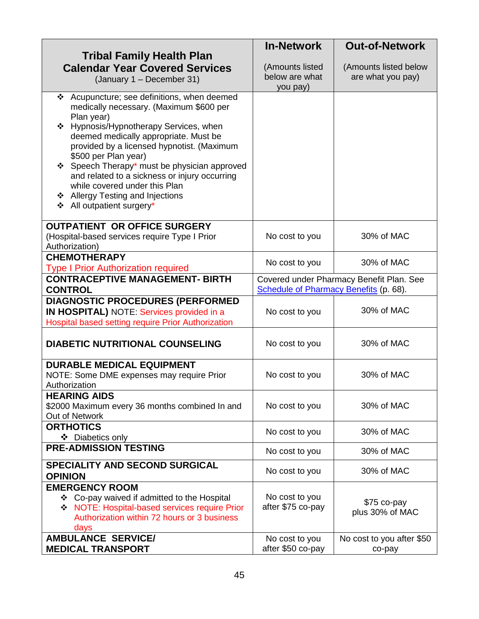|                                                                                            | <b>In-Network</b>                      | <b>Out-of-Network</b>                    |
|--------------------------------------------------------------------------------------------|----------------------------------------|------------------------------------------|
| <b>Tribal Family Health Plan</b>                                                           |                                        |                                          |
| <b>Calendar Year Covered Services</b>                                                      | (Amounts listed                        | (Amounts listed below                    |
| (January 1 - December 31)                                                                  | below are what<br>you pay)             | are what you pay)                        |
| ❖ Acupuncture; see definitions, when deemed                                                |                                        |                                          |
| medically necessary. (Maximum \$600 per                                                    |                                        |                                          |
| Plan year)                                                                                 |                                        |                                          |
| * Hypnosis/Hypnotherapy Services, when                                                     |                                        |                                          |
| deemed medically appropriate. Must be<br>provided by a licensed hypnotist. (Maximum        |                                        |                                          |
| \$500 per Plan year)                                                                       |                                        |                                          |
| ❖ Speech Therapy* must be physician approved                                               |                                        |                                          |
| and related to a sickness or injury occurring                                              |                                        |                                          |
| while covered under this Plan                                                              |                                        |                                          |
| ❖ Allergy Testing and Injections<br>❖ All outpatient surgery*                              |                                        |                                          |
|                                                                                            |                                        |                                          |
| <b>OUTPATIENT OR OFFICE SURGERY</b>                                                        |                                        |                                          |
| (Hospital-based services require Type I Prior                                              | No cost to you                         | 30% of MAC                               |
| Authorization)                                                                             |                                        |                                          |
| <b>CHEMOTHERAPY</b>                                                                        | No cost to you                         | 30% of MAC                               |
| <b>Type I Prior Authorization required</b>                                                 |                                        |                                          |
| <b>CONTRACEPTIVE MANAGEMENT- BIRTH</b><br><b>CONTROL</b>                                   | Schedule of Pharmacy Benefits (p. 68). | Covered under Pharmacy Benefit Plan. See |
| DIAGNOSTIC PROCEDURES (PERFORMED                                                           |                                        |                                          |
| IN HOSPITAL) NOTE: Services provided in a                                                  | No cost to you                         | 30% of MAC                               |
| Hospital based setting require Prior Authorization                                         |                                        |                                          |
|                                                                                            |                                        |                                          |
| <b>DIABETIC NUTRITIONAL COUNSELING</b>                                                     | No cost to you                         | 30% of MAC                               |
|                                                                                            |                                        |                                          |
| <b>DURABLE MEDICAL EQUIPMENT</b><br>NOTE: Some DME expenses may require Prior              | No cost to you                         | 30% of MAC                               |
| Authorization                                                                              |                                        |                                          |
| <b>HEARING AIDS</b>                                                                        |                                        |                                          |
| \$2000 Maximum every 36 months combined In and                                             | No cost to you                         | 30% of MAC                               |
| Out of Network                                                                             |                                        |                                          |
| <b>ORTHOTICS</b>                                                                           | No cost to you                         | 30% of MAC                               |
| ❖ Diabetics only<br><b>PRE-ADMISSION TESTING</b>                                           |                                        |                                          |
|                                                                                            | No cost to you                         | 30% of MAC                               |
| <b>SPECIALITY AND SECOND SURGICAL</b>                                                      | No cost to you                         | 30% of MAC                               |
| <b>OPINION</b>                                                                             |                                        |                                          |
| <b>EMERGENCY ROOM</b>                                                                      |                                        |                                          |
| ❖ Co-pay waived if admitted to the Hospital<br>NOTE: Hospital-based services require Prior | No cost to you<br>after \$75 co-pay    | \$75 co-pay                              |
| Authorization within 72 hours or 3 business                                                |                                        | plus 30% of MAC                          |
| days                                                                                       |                                        |                                          |
| <b>AMBULANCE SERVICE/</b>                                                                  | No cost to you                         | No cost to you after \$50                |
| <b>MEDICAL TRANSPORT</b>                                                                   | after \$50 co-pay                      | co-pay                                   |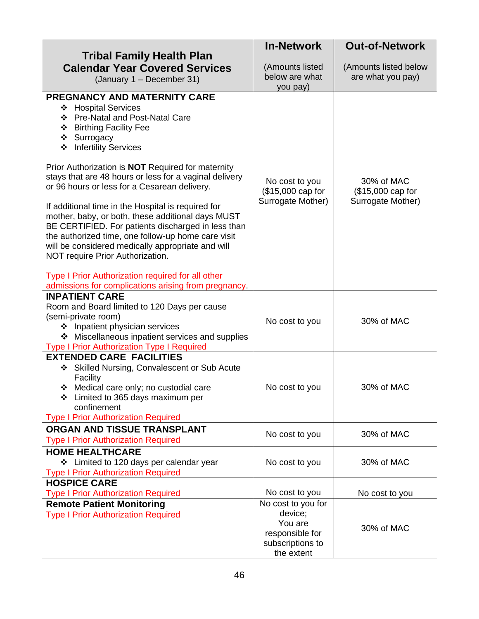|                                                                                   | <b>In-Network</b>                 | <b>Out-of-Network</b> |
|-----------------------------------------------------------------------------------|-----------------------------------|-----------------------|
| <b>Tribal Family Health Plan</b>                                                  |                                   |                       |
| <b>Calendar Year Covered Services</b>                                             | (Amounts listed<br>below are what | (Amounts listed below |
| (January 1 - December 31)                                                         | you pay)                          | are what you pay)     |
| PREGNANCY AND MATERNITY CARE                                                      |                                   |                       |
| ❖ Hospital Services                                                               |                                   |                       |
| ❖ Pre-Natal and Post-Natal Care                                                   |                                   |                       |
| ❖ Birthing Facility Fee<br>❖ Surrogacy                                            |                                   |                       |
| ❖ Infertility Services                                                            |                                   |                       |
|                                                                                   |                                   |                       |
| Prior Authorization is <b>NOT</b> Required for maternity                          |                                   |                       |
| stays that are 48 hours or less for a vaginal delivery                            | No cost to you                    | 30% of MAC            |
| or 96 hours or less for a Cesarean delivery.                                      | (\$15,000 cap for                 | (\$15,000 cap for     |
| If additional time in the Hospital is required for                                | Surrogate Mother)                 | Surrogate Mother)     |
| mother, baby, or both, these additional days MUST                                 |                                   |                       |
| BE CERTIFIED. For patients discharged in less than                                |                                   |                       |
| the authorized time, one follow-up home care visit                                |                                   |                       |
| will be considered medically appropriate and will                                 |                                   |                       |
| NOT require Prior Authorization.                                                  |                                   |                       |
| Type I Prior Authorization required for all other                                 |                                   |                       |
| admissions for complications arising from pregnancy.                              |                                   |                       |
| <b>INPATIENT CARE</b>                                                             |                                   |                       |
| Room and Board limited to 120 Days per cause                                      |                                   |                       |
| (semi-private room)                                                               | No cost to you                    | 30% of MAC            |
| ❖ Inpatient physician services<br>❖ Miscellaneous inpatient services and supplies |                                   |                       |
| <b>Type I Prior Authorization Type I Required</b>                                 |                                   |                       |
| <b>EXTENDED CARE FACILITIES</b>                                                   |                                   |                       |
| ❖ Skilled Nursing, Convalescent or Sub Acute                                      |                                   |                       |
| Facility                                                                          |                                   |                       |
| * Medical care only; no custodial care                                            | No cost to you                    | 30% of MAC            |
| * Limited to 365 days maximum per<br>confinement                                  |                                   |                       |
| <b>Type I Prior Authorization Required</b>                                        |                                   |                       |
| ORGAN AND TISSUE TRANSPLANT                                                       |                                   |                       |
| <b>Type I Prior Authorization Required</b>                                        | No cost to you                    | 30% of MAC            |
| <b>HOME HEALTHCARE</b>                                                            |                                   |                       |
| ❖ Limited to 120 days per calendar year                                           | No cost to you                    | 30% of MAC            |
| <b>Type I Prior Authorization Required</b>                                        |                                   |                       |
| <b>HOSPICE CARE</b><br><b>Type I Prior Authorization Required</b>                 | No cost to you                    | No cost to you        |
| <b>Remote Patient Monitoring</b>                                                  | No cost to you for                |                       |
| <b>Type I Prior Authorization Required</b>                                        | device;                           |                       |
|                                                                                   | You are                           | 30% of MAC            |
|                                                                                   | responsible for                   |                       |
|                                                                                   | subscriptions to                  |                       |
|                                                                                   | the extent                        |                       |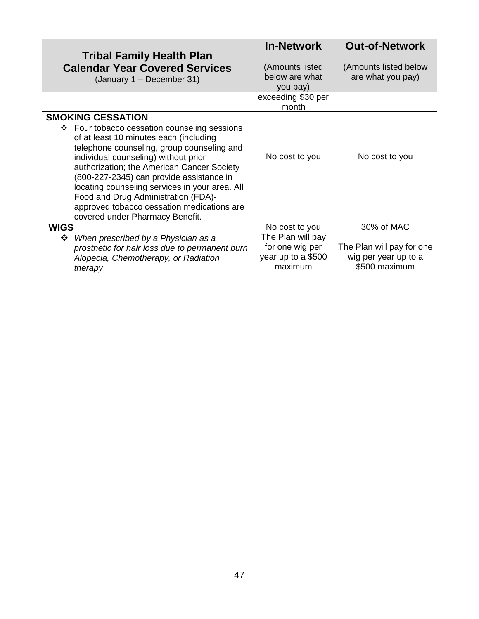| <b>Tribal Family Health Plan</b><br><b>Calendar Year Covered Services</b><br>(January 1 – December 31)                                                                                                                                                                                                                                                                                                                                                                       | <b>In-Network</b><br>(Amounts listed<br>below are what<br>you pay)                      | <b>Out-of-Network</b><br>(Amounts listed below<br>are what you pay)              |
|------------------------------------------------------------------------------------------------------------------------------------------------------------------------------------------------------------------------------------------------------------------------------------------------------------------------------------------------------------------------------------------------------------------------------------------------------------------------------|-----------------------------------------------------------------------------------------|----------------------------------------------------------------------------------|
|                                                                                                                                                                                                                                                                                                                                                                                                                                                                              | exceeding \$30 per<br>month                                                             |                                                                                  |
| <b>SMOKING CESSATION</b><br>❖ Four tobacco cessation counseling sessions<br>of at least 10 minutes each (including<br>telephone counseling, group counseling and<br>individual counseling) without prior<br>authorization; the American Cancer Society<br>(800-227-2345) can provide assistance in<br>locating counseling services in your area. All<br>Food and Drug Administration (FDA)-<br>approved tobacco cessation medications are<br>covered under Pharmacy Benefit. | No cost to you                                                                          | No cost to you                                                                   |
| <b>WIGS</b><br>When prescribed by a Physician as a<br>❖<br>prosthetic for hair loss due to permanent burn<br>Alopecia, Chemotherapy, or Radiation<br>therapy                                                                                                                                                                                                                                                                                                                 | No cost to you<br>The Plan will pay<br>for one wig per<br>year up to a \$500<br>maximum | 30% of MAC<br>The Plan will pay for one<br>wig per year up to a<br>\$500 maximum |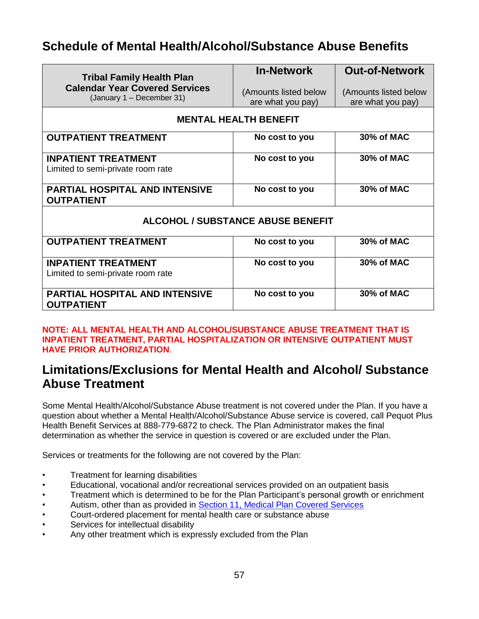# **Schedule of Mental Health/Alcohol/Substance Abuse Benefits**

| <b>Tribal Family Health Plan</b><br><b>Calendar Year Covered Services</b><br>(January 1 - December 31) | <b>In-Network</b>                          | <b>Out-of-Network</b>                      |  |
|--------------------------------------------------------------------------------------------------------|--------------------------------------------|--------------------------------------------|--|
|                                                                                                        | (Amounts listed below<br>are what you pay) | (Amounts listed below<br>are what you pay) |  |
|                                                                                                        |                                            |                                            |  |
|                                                                                                        | <b>MENTAL HEALTH BENEFIT</b>               |                                            |  |
| <b>OUTPATIENT TREATMENT</b>                                                                            | No cost to you                             | 30% of MAC                                 |  |
| <b>INPATIENT TREATMENT</b>                                                                             | No cost to you                             | 30% of MAC                                 |  |
| Limited to semi-private room rate                                                                      |                                            |                                            |  |
| <b>PARTIAL HOSPITAL AND INTENSIVE</b><br><b>OUTPATIENT</b>                                             | No cost to you                             | 30% of MAC                                 |  |
| <b>ALCOHOL / SUBSTANCE ABUSE BENEFIT</b>                                                               |                                            |                                            |  |
| <b>OUTPATIENT TREATMENT</b>                                                                            | No cost to you                             | 30% of MAC                                 |  |
| <b>INPATIENT TREATMENT</b>                                                                             | No cost to you                             | 30% of MAC                                 |  |
| Limited to semi-private room rate                                                                      |                                            |                                            |  |
| <b>PARTIAL HOSPITAL AND INTENSIVE</b><br><b>OUTPATIENT</b>                                             | No cost to you                             | 30% of MAC                                 |  |

#### **NOTE: ALL MENTAL HEALTH AND ALCOHOL/SUBSTANCE ABUSE TREATMENT THAT IS INPATIENT TREATMENT, PARTIAL HOSPITALIZATION OR INTENSIVE OUTPATIENT MUST HAVE PRIOR AUTHORIZATION**.

## **Limitations/Exclusions for Mental Health and Alcohol/ Substance Abuse Treatment**

Some Mental Health/Alcohol/Substance Abuse treatment is not covered under the Plan. If you have a question about whether a Mental Health/Alcohol/Substance Abuse service is covered, call Pequot Plus Health Benefit Services at 888-779-6872 to check. The Plan Administrator makes the final determination as whether the service in question is covered or are excluded under the Plan.

Services or treatments for the following are not covered by the Plan:

- Treatment for learning disabilities
- Educational, vocational and/or recreational services provided on an outpatient basis
- Treatment which is determined to be for the Plan Participant's personal growth or enrichment
- Autism, other than as provided in Section 11, Medical Plan Covered Services
- Court-ordered placement for mental health care or substance abuse
- Services for intellectual disability
- Any other treatment which is expressly excluded from the Plan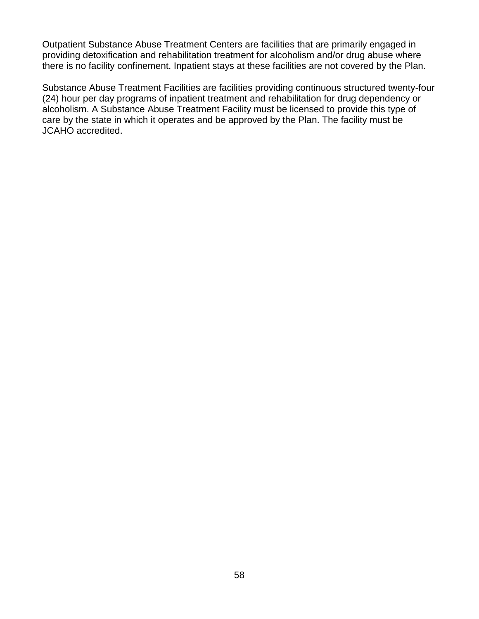Outpatient Substance Abuse Treatment Centers are facilities that are primarily engaged in providing detoxification and rehabilitation treatment for alcoholism and/or drug abuse where there is no facility confinement. Inpatient stays at these facilities are not covered by the Plan.

Substance Abuse Treatment Facilities are facilities providing continuous structured twenty-four (24) hour per day programs of inpatient treatment and rehabilitation for drug dependency or alcoholism. A Substance Abuse Treatment Facility must be licensed to provide this type of care by the state in which it operates and be approved by the Plan. The facility must be JCAHO accredited.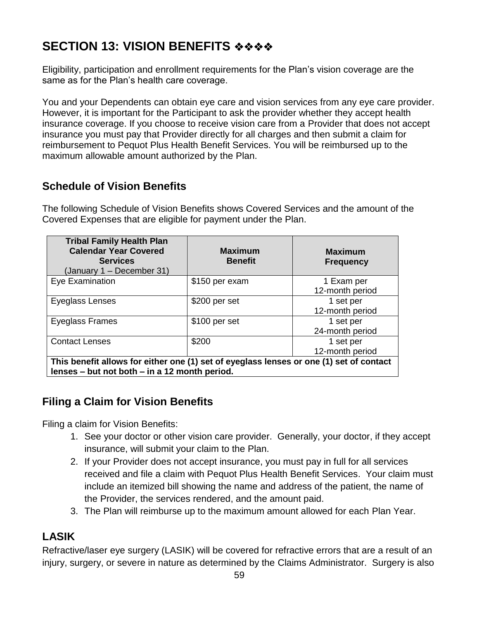# **SECTION 13: VISION BENEFITS** ❖❖❖❖

Eligibility, participation and enrollment requirements for the Plan's vision coverage are the same as for the Plan's health care coverage.

You and your Dependents can obtain eye care and vision services from any eye care provider. However, it is important for the Participant to ask the provider whether they accept health insurance coverage. If you choose to receive vision care from a Provider that does not accept insurance you must pay that Provider directly for all charges and then submit a claim for reimbursement to Pequot Plus Health Benefit Services. You will be reimbursed up to the maximum allowable amount authorized by the Plan.

#### **Schedule of Vision Benefits**

The following Schedule of Vision Benefits shows Covered Services and the amount of the Covered Expenses that are eligible for payment under the Plan.

| <b>Tribal Family Health Plan</b><br><b>Calendar Year Covered</b><br><b>Services</b><br>January 1 - December 31)                          | <b>Maximum</b><br><b>Benefit</b> | <b>Maximum</b><br><b>Frequency</b> |
|------------------------------------------------------------------------------------------------------------------------------------------|----------------------------------|------------------------------------|
| Eye Examination                                                                                                                          | \$150 per exam                   | 1 Exam per<br>12-month period      |
| Eyeglass Lenses                                                                                                                          | \$200 per set                    | 1 set per<br>12-month period       |
| Eyeglass Frames                                                                                                                          | \$100 per set                    | 1 set per<br>24-month period       |
| <b>Contact Lenses</b>                                                                                                                    | \$200                            | 1 set per<br>12-month period       |
| This benefit allows for either one (1) set of eyeglass lenses or one (1) set of contact<br>lenses – but not both – in a 12 month period. |                                  |                                    |

#### **Filing a Claim for Vision Benefits**

Filing a claim for Vision Benefits:

- 1. See your doctor or other vision care provider. Generally, your doctor, if they accept insurance, will submit your claim to the Plan.
- 2. If your Provider does not accept insurance, you must pay in full for all services received and file a claim with Pequot Plus Health Benefit Services. Your claim must include an itemized bill showing the name and address of the patient, the name of the Provider, the services rendered, and the amount paid.
- 3. The Plan will reimburse up to the maximum amount allowed for each Plan Year.

### **LASIK**

Refractive/laser eye surgery (LASIK) will be covered for refractive errors that are a result of an injury, surgery, or severe in nature as determined by the Claims Administrator. Surgery is also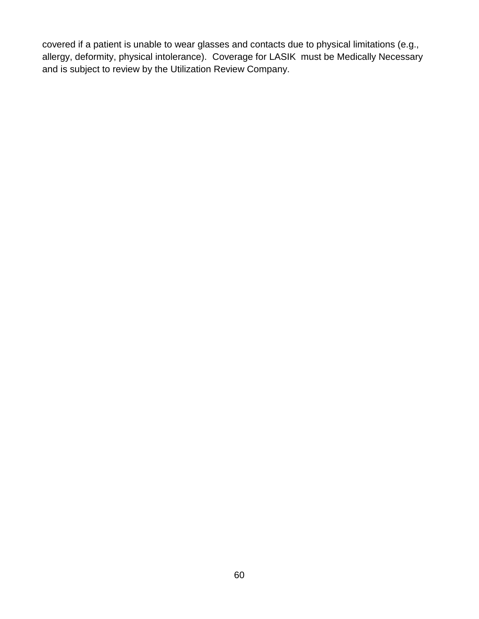covered if a patient is unable to wear glasses and contacts due to physical limitations (e.g., allergy, deformity, physical intolerance). Coverage for LASIK must be Medically Necessary and is subject to review by the Utilization Review Company.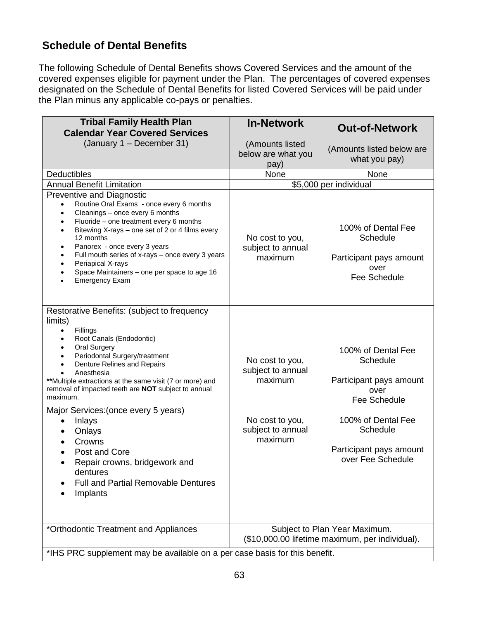#### **Schedule of Dental Benefits**

The following Schedule of Dental Benefits shows Covered Services and the amount of the covered expenses eligible for payment under the Plan. The percentages of covered expenses designated on the Schedule of Dental Benefits for listed Covered Services will be paid under the Plan minus any applicable co-pays or penalties.

| <b>Tribal Family Health Plan</b><br><b>Calendar Year Covered Services</b>                                                                                                                                                                                                                                                                                                                                                                                                                 | <b>In-Network</b>                               | <b>Out-of-Network</b>                                                             |
|-------------------------------------------------------------------------------------------------------------------------------------------------------------------------------------------------------------------------------------------------------------------------------------------------------------------------------------------------------------------------------------------------------------------------------------------------------------------------------------------|-------------------------------------------------|-----------------------------------------------------------------------------------|
| (January 1 - December 31)                                                                                                                                                                                                                                                                                                                                                                                                                                                                 | (Amounts listed<br>below are what you<br>pay)   | (Amounts listed below are<br>what you pay)                                        |
| <b>Deductibles</b>                                                                                                                                                                                                                                                                                                                                                                                                                                                                        | <b>None</b>                                     | None                                                                              |
| <b>Annual Benefit Limitation</b>                                                                                                                                                                                                                                                                                                                                                                                                                                                          |                                                 | \$5,000 per individual                                                            |
| <b>Preventive and Diagnostic</b><br>Routine Oral Exams - once every 6 months<br>Cleanings - once every 6 months<br>$\bullet$<br>Fluoride - one treatment every 6 months<br>$\bullet$<br>Bitewing X-rays - one set of 2 or 4 films every<br>$\bullet$<br>12 months<br>Panorex - once every 3 years<br>$\bullet$<br>Full mouth series of x-rays - once every 3 years<br>$\bullet$<br>Periapical X-rays<br>$\bullet$<br>Space Maintainers - one per space to age 16<br><b>Emergency Exam</b> | No cost to you,<br>subject to annual<br>maximum | 100% of Dental Fee<br>Schedule<br>Participant pays amount<br>over<br>Fee Schedule |
| Restorative Benefits: (subject to frequency<br>limits)<br>Fillings<br>Root Canals (Endodontic)<br>$\bullet$<br><b>Oral Surgery</b><br>$\bullet$<br>Periodontal Surgery/treatment<br>Denture Relines and Repairs<br>Anesthesia<br>**Multiple extractions at the same visit (7 or more) and<br>removal of impacted teeth are NOT subject to annual<br>maximum.                                                                                                                              | No cost to you,<br>subject to annual<br>maximum | 100% of Dental Fee<br>Schedule<br>Participant pays amount<br>over<br>Fee Schedule |
| Major Services: (once every 5 years)<br>Inlays<br>Onlays<br>Crowns<br>$\bullet$<br>Post and Core<br>Repair crowns, bridgework and<br>dentures<br><b>Full and Partial Removable Dentures</b><br>Implants                                                                                                                                                                                                                                                                                   | No cost to you,<br>subject to annual<br>maximum | 100% of Dental Fee<br>Schedule<br>Participant pays amount<br>over Fee Schedule    |
| *Orthodontic Treatment and Appliances                                                                                                                                                                                                                                                                                                                                                                                                                                                     |                                                 | Subject to Plan Year Maximum.<br>(\$10,000.00 lifetime maximum, per individual).  |
| *IHS PRC supplement may be available on a per case basis for this benefit.                                                                                                                                                                                                                                                                                                                                                                                                                |                                                 |                                                                                   |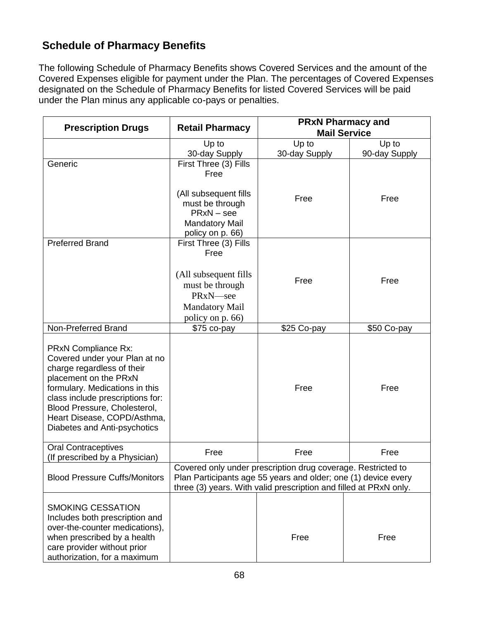#### **Schedule of Pharmacy Benefits**

The following Schedule of Pharmacy Benefits shows Covered Services and the amount of the Covered Expenses eligible for payment under the Plan. The percentages of Covered Expenses designated on the Schedule of Pharmacy Benefits for listed Covered Services will be paid under the Plan minus any applicable co-pays or penalties.

| <b>Prescription Drugs</b>                                                                                                                                                                                                                                                        | <b>Retail Pharmacy</b>                                                                                                                         | <b>PRxN Pharmacy and</b><br><b>Mail Service</b>                                                                                                                                                     |               |
|----------------------------------------------------------------------------------------------------------------------------------------------------------------------------------------------------------------------------------------------------------------------------------|------------------------------------------------------------------------------------------------------------------------------------------------|-----------------------------------------------------------------------------------------------------------------------------------------------------------------------------------------------------|---------------|
|                                                                                                                                                                                                                                                                                  | Up to                                                                                                                                          | Up to                                                                                                                                                                                               | Up to         |
|                                                                                                                                                                                                                                                                                  | 30-day Supply                                                                                                                                  | 30-day Supply                                                                                                                                                                                       | 90-day Supply |
| Generic                                                                                                                                                                                                                                                                          | First Three (3) Fills<br>Free<br>(All subsequent fills<br>must be through<br>$PRxN - see$<br><b>Mandatory Mail</b><br>policy on p. 66)         | Free                                                                                                                                                                                                | Free          |
| <b>Preferred Brand</b>                                                                                                                                                                                                                                                           | First Three (3) Fills<br>Free<br>(All subsequent fills)<br>must be through<br>PRxN <sub>see</sub><br><b>Mandatory Mail</b><br>policy on p. 66) | Free                                                                                                                                                                                                | Free          |
| Non-Preferred Brand                                                                                                                                                                                                                                                              | \$75 co-pay                                                                                                                                    | \$25 Co-pay                                                                                                                                                                                         | \$50 Co-pay   |
| PRxN Compliance Rx:<br>Covered under your Plan at no<br>charge regardless of their<br>placement on the PRxN<br>formulary. Medications in this<br>class include prescriptions for:<br>Blood Pressure, Cholesterol,<br>Heart Disease, COPD/Asthma,<br>Diabetes and Anti-psychotics |                                                                                                                                                | Free                                                                                                                                                                                                | Free          |
| <b>Oral Contraceptives</b><br>(If prescribed by a Physician)                                                                                                                                                                                                                     | Free                                                                                                                                           | Free                                                                                                                                                                                                | Free          |
| <b>Blood Pressure Cuffs/Monitors</b>                                                                                                                                                                                                                                             |                                                                                                                                                | Covered only under prescription drug coverage. Restricted to<br>Plan Participants age 55 years and older; one (1) device every<br>three (3) years. With valid prescription and filled at PRxN only. |               |
| <b>SMOKING CESSATION</b><br>Includes both prescription and<br>over-the-counter medications),<br>when prescribed by a health<br>care provider without prior<br>authorization, for a maximum                                                                                       |                                                                                                                                                | Free                                                                                                                                                                                                | Free          |